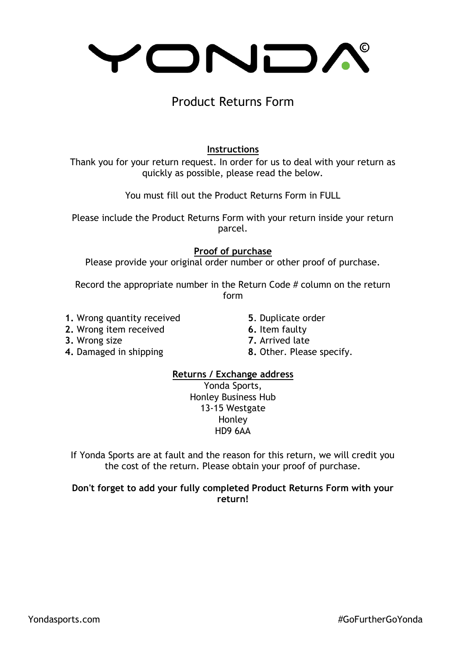# YONDA

## Product Returns Form

### **Instructions**

Thank you for your return request. In order for us to deal with your return as quickly as possible, please read the below.

You must fill out the Product Returns Form in FULL

Please include the Product Returns Form with your return inside your return parcel.

#### **Proof of purchase**

Please provide your original order number or other proof of purchase.

Record the appropriate number in the Return Code # column on the return form

- **1.** Wrong quantity received **5**. Duplicate order
- **2.** Wrong item received **6.** Item faulty
- **3.** Wrong size **7.** Arrived late
	-
- **4.** Damaged in shipping **8.** Other. Please specify.

#### **Returns / Exchange address**

Yonda Sports, Honley Business Hub 13-15 Westgate Honley HD9 6AA

If Yonda Sports are at fault and the reason for this return, we will credit you the cost of the return. Please obtain your proof of purchase.

#### **Don't forget to add your fully completed Product Returns Form with your return!**